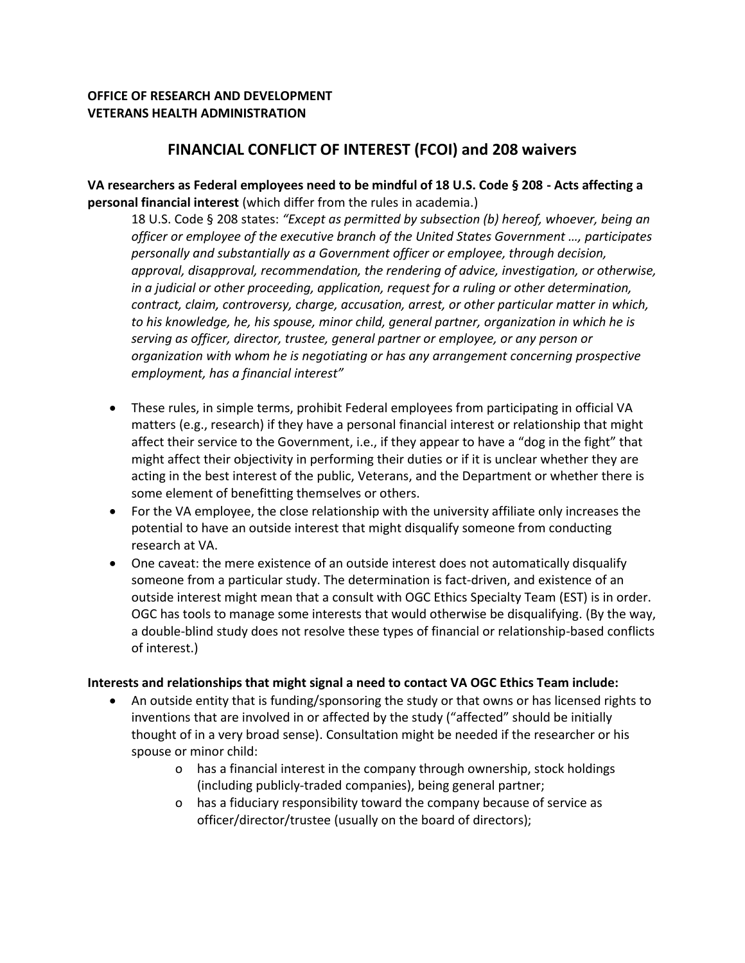## **OFFICE OF RESEARCH AND DEVELOPMENT VETERANS HEALTH ADMINISTRATION**

# **FINANCIAL CONFLICT OF INTEREST (FCOI) and 208 waivers**

**VA researchers as Federal employees need to be mindful of 18 U.S. Code § 208 - Acts affecting a personal financial interest** (which differ from the rules in academia.)

18 U.S. Code § 208 states: *"Except as permitted by subsection (b) hereof, whoever, being an officer or employee of the executive branch of the United States Government …, participates personally and substantially as a Government officer or employee, through decision, approval, disapproval, recommendation, the rendering of advice, investigation, or otherwise, in a judicial or other proceeding, application, request for a ruling or other determination, contract, claim, controversy, charge, accusation, arrest, or other particular matter in which, to his knowledge, he, his spouse, minor child, general partner, organization in which he is serving as officer, director, trustee, general partner or employee, or any person or organization with whom he is negotiating or has any arrangement concerning prospective employment, has a financial interest"*

- These rules, in simple terms, prohibit Federal employees from participating in official VA matters (e.g., research) if they have a personal financial interest or relationship that might affect their service to the Government, i.e., if they appear to have a "dog in the fight" that might affect their objectivity in performing their duties or if it is unclear whether they are acting in the best interest of the public, Veterans, and the Department or whether there is some element of benefitting themselves or others.
- For the VA employee, the close relationship with the university affiliate only increases the potential to have an outside interest that might disqualify someone from conducting research at VA.
- One caveat: the mere existence of an outside interest does not automatically disqualify someone from a particular study. The determination is fact-driven, and existence of an outside interest might mean that a consult with OGC Ethics Specialty Team (EST) is in order. OGC has tools to manage some interests that would otherwise be disqualifying. (By the way, a double-blind study does not resolve these types of financial or relationship-based conflicts of interest.)

### **Interests and relationships that might signal a need to contact VA OGC Ethics Team include:**

- An outside entity that is funding/sponsoring the study or that owns or has licensed rights to inventions that are involved in or affected by the study ("affected" should be initially thought of in a very broad sense). Consultation might be needed if the researcher or his spouse or minor child:
	- o has a financial interest in the company through ownership, stock holdings (including publicly-traded companies), being general partner;
	- o has a fiduciary responsibility toward the company because of service as officer/director/trustee (usually on the board of directors);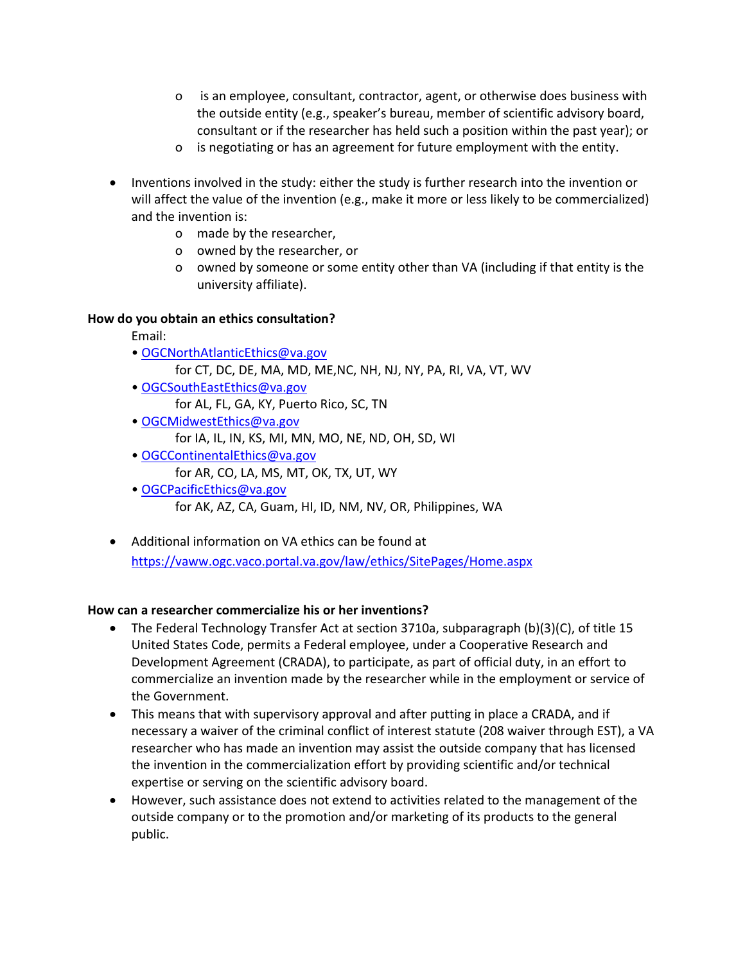- o is an employee, consultant, contractor, agent, or otherwise does business with the outside entity (e.g., speaker's bureau, member of scientific advisory board, consultant or if the researcher has held such a position within the past year); or
- o is negotiating or has an agreement for future employment with the entity.
- Inventions involved in the study: either the study is further research into the invention or will affect the value of the invention (e.g., make it more or less likely to be commercialized) and the invention is:
	- o made by the researcher,
	- o owned by the researcher, or
	- o owned by someone or some entity other than VA (including if that entity is the university affiliate).

## **How do you obtain an ethics consultation?**

- Email:
- [OGCNorthAtlanticEthics@va.gov](mailto:OGCNorthAtlanticEthics@va.gov)
	- for CT, DC, DE, MA, MD, ME,NC, NH, NJ, NY, PA, RI, VA, VT, WV
- [OGCSouthEastEthics@va.gov](mailto:OGCSouthEastEthics@va.gov)
	- for AL, FL, GA, KY, Puerto Rico, SC, TN
- [OGCMidwestEthics@va.gov](mailto:OGCMidwestEthics@va.gov)
	- for IA, IL, IN, KS, MI, MN, MO, NE, ND, OH, SD, WI
- [OGCContinentalEthics@va.gov](mailto:OGCContinentalEthics@va.gov)
	- for AR, CO, LA, MS, MT, OK, TX, UT, WY
- [OGCPacificEthics@va.gov](mailto:OGCPacificEthics@va.gov) for AK, AZ, CA, Guam, HI, ID, NM, NV, OR, Philippines, WA
- Additional information on VA ethics can be found at <https://vaww.ogc.vaco.portal.va.gov/law/ethics/SitePages/Home.aspx>

## **How can a researcher commercialize his or her inventions?**

- The Federal Technology Transfer Act at section 3710a, subparagraph (b)(3)(C), of title 15 United States Code, permits a Federal employee, under a Cooperative Research and Development Agreement (CRADA), to participate, as part of official duty, in an effort to commercialize an invention made by the researcher while in the employment or service of the Government.
- This means that with supervisory approval and after putting in place a CRADA, and if necessary a waiver of the criminal conflict of interest statute (208 waiver through EST), a VA researcher who has made an invention may assist the outside company that has licensed the invention in the commercialization effort by providing scientific and/or technical expertise or serving on the scientific advisory board.
- However, such assistance does not extend to activities related to the management of the outside company or to the promotion and/or marketing of its products to the general public.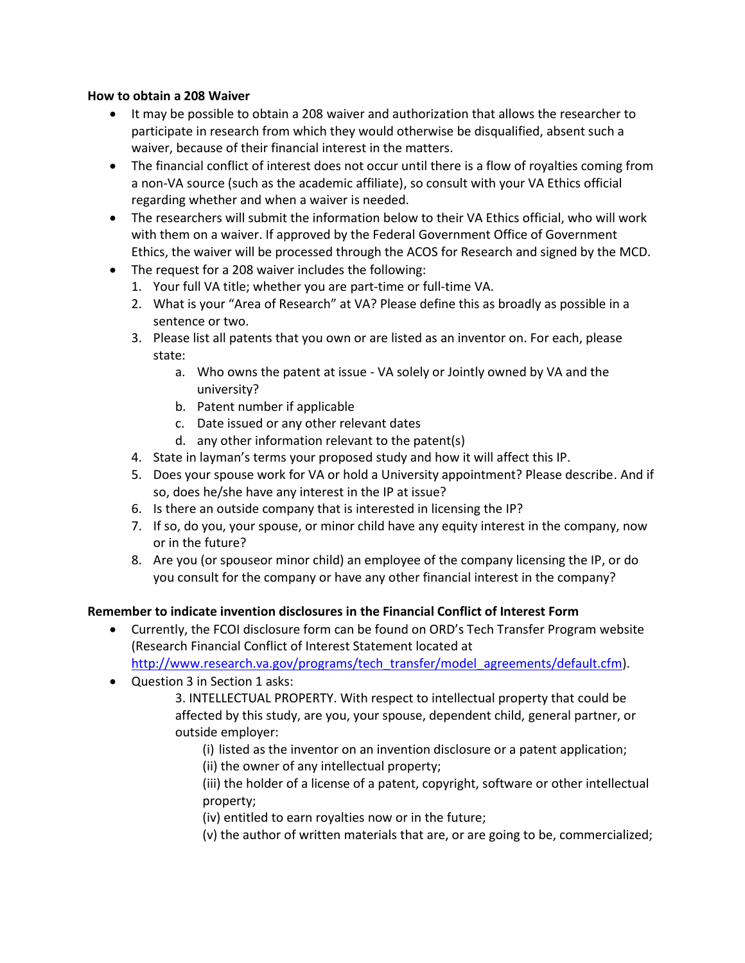#### **How to obtain a 208 Waiver**

- It may be possible to obtain a 208 waiver and authorization that allows the researcher to participate in research from which they would otherwise be disqualified, absent such a waiver, because of their financial interest in the matters.
- The financial conflict of interest does not occur until there is a flow of royalties coming from a non-VA source (such as the academic affiliate), so consult with your VA Ethics official regarding whether and when a waiver is needed.
- The researchers will submit the information below to their VA Ethics official, who will work with them on a waiver. If approved by the Federal Government Office of Government Ethics, the waiver will be processed through the ACOS for Research and signed by the MCD.
- The request for a 208 waiver includes the following:
	- 1. Your full VA title; whether you are part-time or full-time VA.
	- 2. What is your "Area of Research" at VA? Please define this as broadly as possible in a sentence or two.
	- 3. Please list all patents that you own or are listed as an inventor on. For each, please state:
		- a. Who owns the patent at issue VA solely or Jointly owned by VA and the university?
		- b. Patent number if applicable
		- c. Date issued or any other relevant dates
		- d. any other information relevant to the patent(s)
	- 4. State in layman's terms your proposed study and how it will affect this IP.
	- 5. Does your spouse work for VA or hold a University appointment? Please describe. And if so, does he/she have any interest in the IP at issue?
	- 6. Is there an outside company that is interested in licensing the IP?
	- 7. If so, do you, your spouse, or minor child have any equity interest in the company, now or in the future?
	- 8. Are you (or spouseor minor child) an employee of the company licensing the IP, or do you consult for the company or have any other financial interest in the company?

### **Remember to indicate invention disclosures in the Financial Conflict of Interest Form**

- Currently, the FCOI disclosure form can be found on ORD's Tech Transfer Program website (Research Financial Conflict of Interest Statement located at [http://www.research.va.gov/programs/tech\\_transfer/model\\_agreements/default.cfm\)](http://www.research.va.gov/programs/tech_transfer/model_agreements/default.cfm).
- Question 3 in Section 1 asks:
	- 3. INTELLECTUAL PROPERTY. With respect to intellectual property that could be affected by this study, are you, your spouse, dependent child, general partner, or outside employer:
		- (i) listed as the inventor on an invention disclosure or a patent application; (ii) the owner of any intellectual property;

(iii) the holder of a license of a patent, copyright, software or other intellectual property;

(iv) entitled to earn royalties now or in the future;

(v) the author of written materials that are, or are going to be, commercialized;